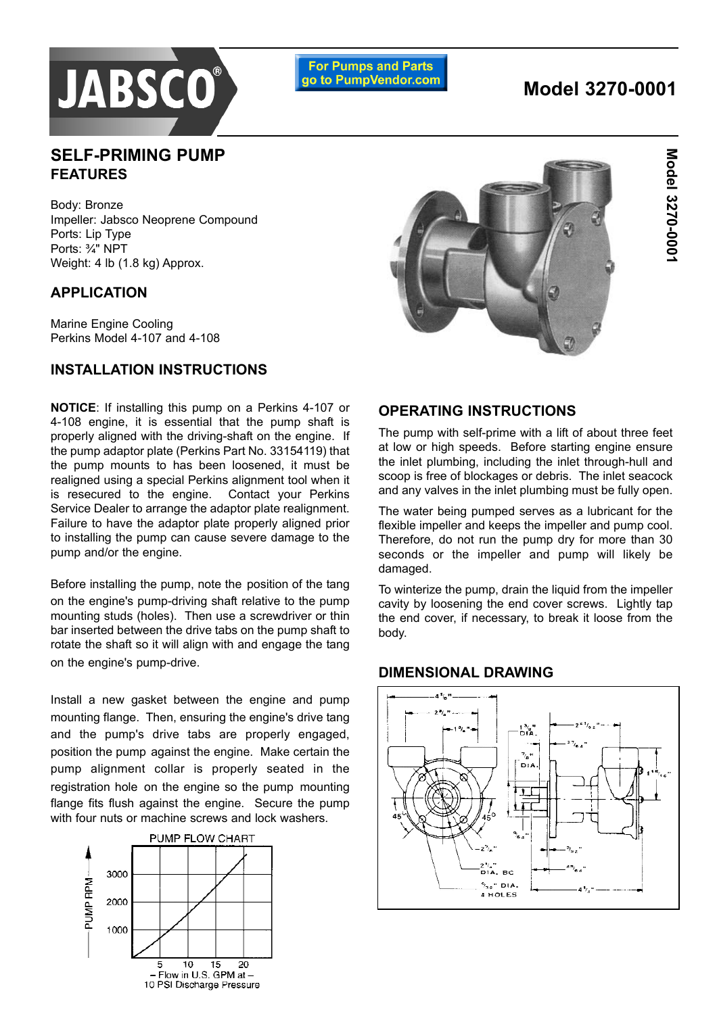

**For Pumps and Parts** go to PumpVendor.com

# **Model 3270-0001**

## **SELF-PRIMING PUMP FEATURES**

Body: Bronze Impeller: Jabsco Neoprene Compound Ports: Lip Type Ports: 3/4" NPT Weight: 4 lb (1.8 kg) Approx.

## **APPLICATION**

Marine Engine Cooling Perkins Model 4-107 and 4-108

## **INSTALLATION INSTRUCTIONS**

**NOTICE**: If installing this pump on a Perkins 4-107 or 4-108 engine, it is essential that the pump shaft is properly aligned with the driving-shaft on the engine. If the pump adaptor plate (Perkins Part No. 33154119) that the pump mounts to has been loosened, it must be realigned using a special Perkins alignment tool when it is resecured to the engine. Contact your Perkins Service Dealer to arrange the adaptor plate realignment. Failure to have the adaptor plate properly aligned prior to installing the pump can cause severe damage to the pump and/or the engine.

Before installing the pump, note the position of the tang on the engine's pump-driving shaft relative to the pump mounting studs (holes). Then use a screwdriver or thin bar inserted between the drive tabs on the pump shaft to rotate the shaft so it will align with and engage the tang on the engine's pump-drive.

Install a new gasket between the engine and pump mounting flange. Then, ensuring the engine's drive tang and the pump's drive tabs are properly engaged, position the pump against the engine. Make certain the pump alignment collar is properly seated in the registration hole on the engine so the pump mounting flange fits flush against the engine. Secure the pump with four nuts or machine screws and lock washers.





#### **OPERATING INSTRUCTIONS**

The pump with self-prime with a lift of about three feet at low or high speeds. Before starting engine ensure the inlet plumbing, including the inlet through-hull and scoop is free of blockages or debris. The inlet seacock and any valves in the inlet plumbing must be fully open.

The water being pumped serves as a lubricant for the flexible impeller and keeps the impeller and pump cool. Therefore, do not run the pump dry for more than 30 seconds or the impeller and pump will likely be damaged.

To winterize the pump, drain the liquid from the impeller cavity by loosening the end cover screws. Lightly tap the end cover, if necessary, to break it loose from the body.

#### **DIMENSIONAL DRAWING**